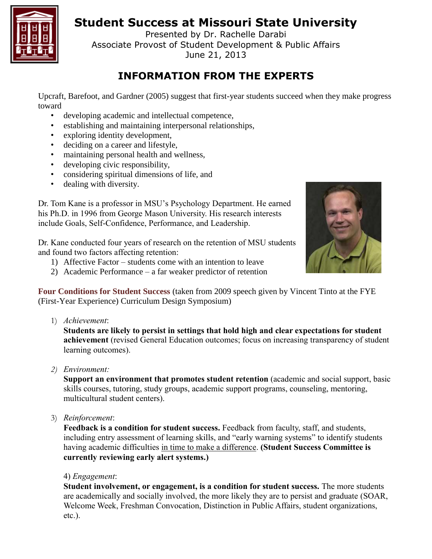# **Student Success at Missouri State University**



Presented by Dr. Rachelle Darabi Associate Provost of Student Development & Public Affairs June 21, 2013

# **INFORMATION FROM THE EXPERTS**

Upcraft, Barefoot, and Gardner (2005) suggest that first-year students succeed when they make progress toward

- developing academic and intellectual competence,
- establishing and maintaining interpersonal relationships,
- exploring identity development,
- deciding on a career and lifestyle,
- maintaining personal health and wellness,
- developing civic responsibility,
- considering spiritual dimensions of life, and
- dealing with diversity.



Dr. Tom Kane is a professor in MSU's Psychology Department. He earned his Ph.D. in 1996 from George Mason University. His research interests include Goals, Self-Confidence, Performance, and Leadership.

Dr. Kane conducted four years of research on the retention of MSU students and found two factors affecting retention:

- 1) Affective Factor students come with an intention to leave
- 2) Academic Performance a far weaker predictor of retention

**Four Conditions for Student Success** (taken from 2009 speech given by Vincent Tinto at the FYE (First-Year Experience) Curriculum Design Symposium)

1) *Achievement*:

**Students are likely to persist in settings that hold high and clear expectations for student achievement** (revised General Education outcomes; focus on increasing transparency of student learning outcomes).

*2) Environment:*

**Support an environment that promotes student retention** (academic and social support, basic skills courses, tutoring, study groups, academic support programs, counseling, mentoring, multicultural student centers).

3) *Reinforcement*:

**Feedback is a condition for student success.** Feedback from faculty, staff, and students, including entry assessment of learning skills, and "early warning systems" to identify students having academic difficulties in time to make a difference. **(Student Success Committee is currently reviewing early alert systems.)**

#### 4) *Engagement*:

**Student involvement, or engagement, is a condition for student success.** The more students are academically and socially involved, the more likely they are to persist and graduate (SOAR, Welcome Week, Freshman Convocation, Distinction in Public Affairs, student organizations, etc.).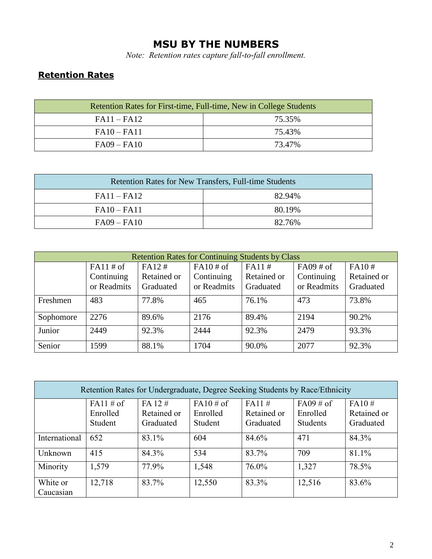### **MSU BY THE NUMBERS**

*Note: Retention rates capture fall-to-fall enrollment.*

# **Retention Rates**

| Retention Rates for First-time, Full-time, New in College Students |        |  |  |  |
|--------------------------------------------------------------------|--------|--|--|--|
| $FA11 - FA12$                                                      | 75.35% |  |  |  |
| $FA10 - FA11$                                                      | 75.43% |  |  |  |
| $FA09 - FA10$                                                      | 73.47% |  |  |  |

| <b>Retention Rates for New Transfers, Full-time Students</b> |        |  |  |  |
|--------------------------------------------------------------|--------|--|--|--|
| $FA11 - FA12$                                                | 82.94% |  |  |  |
| $FA10 - FA11$                                                | 80.19% |  |  |  |
| $FA09 - FA10$                                                | 82.76% |  |  |  |

| <b>Retention Rates for Continuing Students by Class</b> |              |             |             |             |              |             |
|---------------------------------------------------------|--------------|-------------|-------------|-------------|--------------|-------------|
|                                                         | $FA11 \# of$ | FA12#       |             | FA11#       | $FA09 \# of$ | FA10#       |
|                                                         | Continuing   | Retained or | Continuing  | Retained or | Continuing   | Retained or |
|                                                         | or Readmits  | Graduated   | or Readmits | Graduated   | or Readmits  | Graduated   |
| Freshmen                                                | 483          | 77.8%       | 465         | 76.1%       | 473          | 73.8%       |
| Sophomore                                               | 2276         | 89.6%       | 2176        | 89.4%       | 2194         | 90.2%       |
| Junior                                                  | 2449         | 92.3%       | 2444        | 92.3%       | 2479         | 93.3%       |
| Senior                                                  | 1599         | 88.1%       | 1704        | 90.0%       | 2077         | 92.3%       |

| Retention Rates for Undergraduate, Degree Seeking Students by Race/Ethnicity |                                     |                                         |                                     |                                   |                                             |                                   |
|------------------------------------------------------------------------------|-------------------------------------|-----------------------------------------|-------------------------------------|-----------------------------------|---------------------------------------------|-----------------------------------|
|                                                                              | $FA11 \# of$<br>Enrolled<br>Student | $FA$ 12 $#$<br>Retained or<br>Graduated | $FA10 \# of$<br>Enrolled<br>Student | FA11#<br>Retained or<br>Graduated | $FA09 \# of$<br>Enrolled<br><b>Students</b> | FA10#<br>Retained or<br>Graduated |
| International                                                                | 652                                 | 83.1%                                   | 604                                 | 84.6%                             | 471                                         | 84.3%                             |
| Unknown                                                                      | 415                                 | 84.3%                                   | 534                                 | 83.7%                             | 709                                         | 81.1%                             |
| Minority                                                                     | 1,579                               | 77.9%                                   | 1,548                               | 76.0%                             | 1,327                                       | 78.5%                             |
| White or<br>Caucasian                                                        | 12,718                              | 83.7%                                   | 12,550                              | 83.3%                             | 12,516                                      | 83.6%                             |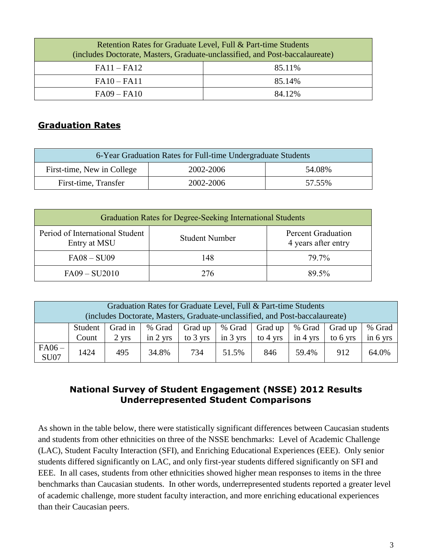| Retention Rates for Graduate Level, Full & Part-time Students<br>(includes Doctorate, Masters, Graduate-unclassified, and Post-baccalaureate) |        |  |  |
|-----------------------------------------------------------------------------------------------------------------------------------------------|--------|--|--|
| $FA11 - FA12$                                                                                                                                 | 85.11% |  |  |
| $FA10 - FA11$                                                                                                                                 | 85.14% |  |  |
| $FA09 - FA10$                                                                                                                                 | 84.12% |  |  |

#### **Graduation Rates**

| 6-Year Graduation Rates for Full-time Undergraduate Students |           |        |  |  |  |
|--------------------------------------------------------------|-----------|--------|--|--|--|
| First-time, New in College<br>2002-2006<br>54.08%            |           |        |  |  |  |
| First-time, Transfer                                         | 2002-2006 | 57.55% |  |  |  |

| Graduation Rates for Degree-Seeking International Students |                       |                                                  |  |  |  |
|------------------------------------------------------------|-----------------------|--------------------------------------------------|--|--|--|
| Period of International Student<br>Entry at MSU            | <b>Student Number</b> | <b>Percent Graduation</b><br>4 years after entry |  |  |  |
| $FA08 - SU09$                                              | 148                   | 79.7%                                            |  |  |  |
| $FA09 - SU2010$                                            | 276                   | 89.5%                                            |  |  |  |

|                        |                  |                  | Graduation Rates for Graduate Level, Full & Part-time Students<br>(includes Doctorate, Masters, Graduate-unclassified, and Post-baccalaureate) |                     |               |                                        |                              |                     |                    |
|------------------------|------------------|------------------|------------------------------------------------------------------------------------------------------------------------------------------------|---------------------|---------------|----------------------------------------|------------------------------|---------------------|--------------------|
|                        | Student<br>Count | Grad in<br>2 yrs | % Grad<br>in $2 \text{ yrs}$                                                                                                                   | Grad up<br>to 3 yrs | in $3 \,$ yrs | % Grad   Grad up<br>to $4 \text{ yrs}$ | % Grad<br>in $4 \text{ yrs}$ | Grad up<br>to 6 yrs | % Grad<br>in 6 yrs |
| $FA06-$<br><b>SU07</b> | 1424             | 495              | 34.8%                                                                                                                                          | 734                 | 51.5%         | 846                                    | 59.4%                        | 912                 | 64.0%              |

#### **National Survey of Student Engagement (NSSE) 2012 Results Underrepresented Student Comparisons**

As shown in the table below, there were statistically significant differences between Caucasian students and students from other ethnicities on three of the NSSE benchmarks: Level of Academic Challenge (LAC), Student Faculty Interaction (SFI), and Enriching Educational Experiences (EEE). Only senior students differed significantly on LAC, and only first-year students differed significantly on SFI and EEE. In all cases, students from other ethnicities showed higher mean responses to items in the three benchmarks than Caucasian students. In other words, underrepresented students reported a greater level of academic challenge, more student faculty interaction, and more enriching educational experiences than their Caucasian peers.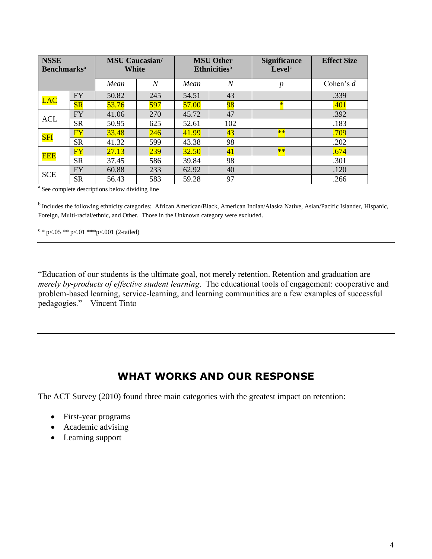| <b>NSSE</b><br><b>Benchmarks</b> <sup>a</sup> |                        | <b>MSU Caucasian/</b><br><b>White</b> |                  | <b>MSU Other</b><br><b>Ethnicities</b> <sup>b</sup> |                  | <b>Significance</b><br>Level <sup>c</sup> | <b>Effect Size</b> |
|-----------------------------------------------|------------------------|---------------------------------------|------------------|-----------------------------------------------------|------------------|-------------------------------------------|--------------------|
|                                               |                        | Mean                                  | $\boldsymbol{N}$ | Mean                                                | $\boldsymbol{N}$ | $\boldsymbol{p}$                          | Cohen's $d$        |
| LAC                                           | <b>FY</b>              | 50.82                                 | 245              | 54.51                                               | 43               |                                           | .339               |
|                                               | $S_{R}$                | 53.76                                 | 597              | 57.00                                               | 98               |                                           | .401               |
| <b>ACL</b>                                    | <b>FY</b>              | 41.06                                 | 270              | 45.72                                               | 47               |                                           | .392               |
|                                               | <b>SR</b>              | 50.95                                 | 625              | 52.61                                               | 102              |                                           | .183               |
| <mark>SFI</mark>                              | $\overline{\text{FY}}$ | 33.48                                 | 246              | 41.99                                               | 43               | $**$                                      | .709               |
|                                               | <b>SR</b>              | 41.32                                 | 599              | 43.38                                               | 98               |                                           | .202               |
| <b>EEE</b>                                    | FY                     | 27.13                                 | 239              | 32.50                                               | 41               | $**$                                      | .674               |
|                                               | <b>SR</b>              | 37.45                                 | 586              | 39.84                                               | 98               |                                           | .301               |
| <b>SCE</b>                                    | <b>FY</b>              | 60.88                                 | 233              | 62.92                                               | 40               |                                           | .120               |
|                                               | <b>SR</b>              | 56.43                                 | 583              | 59.28                                               | 97               |                                           | .266               |

<sup>a</sup> See complete descriptions below dividing line

<sup>b</sup> Includes the following ethnicity categories: African American/Black, American Indian/Alaska Native, Asian/Pacific Islander, Hispanic, Foreign, Multi-racial/ethnic, and Other. Those in the Unknown category were excluded.

 $c * p < .05 ** p < .01 ** p < .001 (2-tailed)$ 

"Education of our students is the ultimate goal, not merely retention. Retention and graduation are *merely by-products of effective student learning*. The educational tools of engagement: cooperative and problem-based learning, service-learning, and learning communities are a few examples of successful pedagogies." – Vincent Tinto

### **WHAT WORKS AND OUR RESPONSE**

The ACT Survey (2010) found three main categories with the greatest impact on retention:

- First-year programs
- Academic advising
- Learning support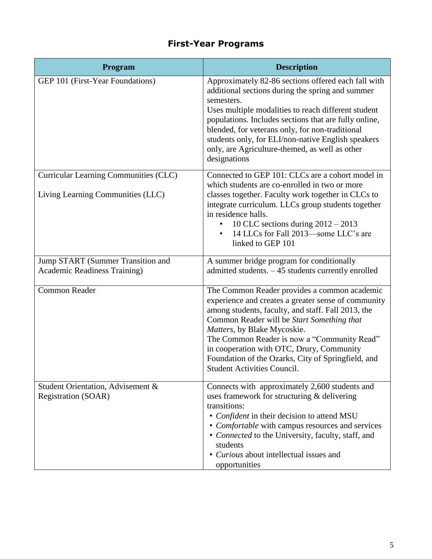# **First-Year Programs**

| <b>Program</b>                                                             | <b>Description</b>                                                                                                                                                                                                                                                                                                                                                                                                             |
|----------------------------------------------------------------------------|--------------------------------------------------------------------------------------------------------------------------------------------------------------------------------------------------------------------------------------------------------------------------------------------------------------------------------------------------------------------------------------------------------------------------------|
| GEP 101 (First-Year Foundations)                                           | Approximately 82-86 sections offered each fall with<br>additional sections during the spring and summer<br>semesters.<br>Uses multiple modalities to reach different student<br>populations. Includes sections that are fully online,<br>blended, for veterans only, for non-traditional<br>students only, for ELI/non-native English speakers<br>only, are Agriculture-themed, as well as other<br>designations               |
| Curricular Learning Communities (CLC)<br>Living Learning Communities (LLC) | Connected to GEP 101: CLCs are a cohort model in<br>which students are co-enrolled in two or more<br>classes together. Faculty work together in CLCs to<br>integrate curriculum. LLCs group students together                                                                                                                                                                                                                  |
|                                                                            | in residence halls.<br>10 CLC sections during $2012 - 2013$<br>14 LLCs for Fall 2013—some LLC's are<br>linked to GEP 101                                                                                                                                                                                                                                                                                                       |
| Jump START (Summer Transition and<br>Academic Readiness Training)          | A summer bridge program for conditionally<br>admitted students. -45 students currently enrolled                                                                                                                                                                                                                                                                                                                                |
| <b>Common Reader</b>                                                       | The Common Reader provides a common academic<br>experience and creates a greater sense of community<br>among students, faculty, and staff. Fall 2013, the<br>Common Reader will be Start Something that<br>Matters, by Blake Mycoskie.<br>The Common Reader is now a "Community Read"<br>in cooperation with OTC, Drury, Community<br>Foundation of the Ozarks, City of Springfield, and<br><b>Student Activities Council.</b> |
| Student Orientation, Advisement &<br><b>Registration (SOAR)</b>            | Connects with approximately 2,600 students and<br>uses framework for structuring & delivering<br>transitions:<br>• Confident in their decision to attend MSU<br>• Comfortable with campus resources and services<br>• Connected to the University, faculty, staff, and<br>students<br>• Curious about intellectual issues and<br>opportunities                                                                                 |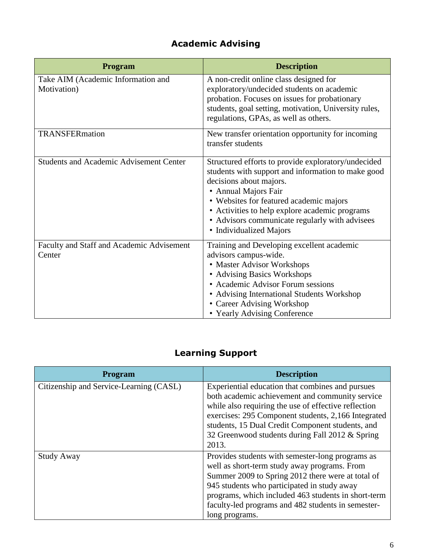# **Academic Advising**

| <b>Program</b>                                      | <b>Description</b>                                                                                                                                                                                                                                                                                                                     |
|-----------------------------------------------------|----------------------------------------------------------------------------------------------------------------------------------------------------------------------------------------------------------------------------------------------------------------------------------------------------------------------------------------|
| Take AIM (Academic Information and<br>Motivation)   | A non-credit online class designed for<br>exploratory/undecided students on academic<br>probation. Focuses on issues for probationary<br>students, goal setting, motivation, University rules,<br>regulations, GPAs, as well as others.                                                                                                |
| TRANSFERmation                                      | New transfer orientation opportunity for incoming<br>transfer students                                                                                                                                                                                                                                                                 |
| <b>Students and Academic Advisement Center</b>      | Structured efforts to provide exploratory/undecided<br>students with support and information to make good<br>decisions about majors.<br>• Annual Majors Fair<br>• Websites for featured academic majors<br>• Activities to help explore academic programs<br>• Advisors communicate regularly with advisees<br>• Individualized Majors |
| Faculty and Staff and Academic Advisement<br>Center | Training and Developing excellent academic<br>advisors campus-wide.<br>• Master Advisor Workshops<br>• Advising Basics Workshops<br>• Academic Advisor Forum sessions<br>• Advising International Students Workshop<br>• Career Advising Workshop<br>• Yearly Advising Conference                                                      |

# **Learning Support**

| <b>Program</b>                          | <b>Description</b>                                                                                                                                                                                                                                                                                                                  |
|-----------------------------------------|-------------------------------------------------------------------------------------------------------------------------------------------------------------------------------------------------------------------------------------------------------------------------------------------------------------------------------------|
| Citizenship and Service-Learning (CASL) | Experiential education that combines and pursues<br>both academic achievement and community service<br>while also requiring the use of effective reflection<br>exercises: 295 Component students, 2,166 Integrated<br>students, 15 Dual Credit Component students, and<br>32 Greenwood students during Fall 2012 & Spring<br>2013.  |
| <b>Study Away</b>                       | Provides students with semester-long programs as<br>well as short-term study away programs. From<br>Summer 2009 to Spring 2012 there were at total of<br>945 students who participated in study away<br>programs, which included 463 students in short-term<br>faculty-led programs and 482 students in semester-<br>long programs. |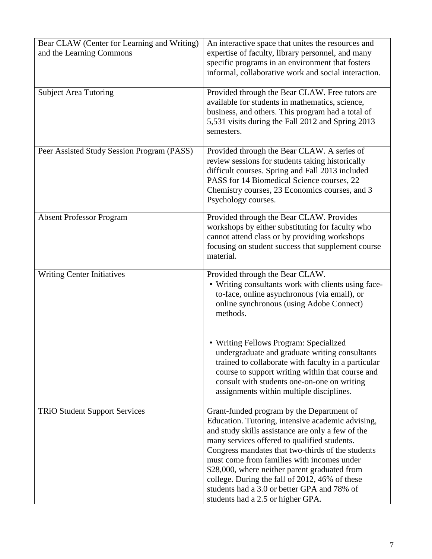| Bear CLAW (Center for Learning and Writing) | An interactive space that unites the resources and                                                |
|---------------------------------------------|---------------------------------------------------------------------------------------------------|
| and the Learning Commons                    | expertise of faculty, library personnel, and many                                                 |
|                                             | specific programs in an environment that fosters                                                  |
|                                             | informal, collaborative work and social interaction.                                              |
|                                             |                                                                                                   |
| <b>Subject Area Tutoring</b>                | Provided through the Bear CLAW. Free tutors are                                                   |
|                                             | available for students in mathematics, science,                                                   |
|                                             | business, and others. This program had a total of                                                 |
|                                             | 5,531 visits during the Fall 2012 and Spring 2013                                                 |
|                                             | semesters.                                                                                        |
| Peer Assisted Study Session Program (PASS)  | Provided through the Bear CLAW. A series of                                                       |
|                                             | review sessions for students taking historically                                                  |
|                                             | difficult courses. Spring and Fall 2013 included                                                  |
|                                             | PASS for 14 Biomedical Science courses, 22                                                        |
|                                             | Chemistry courses, 23 Economics courses, and 3                                                    |
|                                             | Psychology courses.                                                                               |
|                                             |                                                                                                   |
| <b>Absent Professor Program</b>             | Provided through the Bear CLAW. Provides                                                          |
|                                             | workshops by either substituting for faculty who<br>cannot attend class or by providing workshops |
|                                             | focusing on student success that supplement course                                                |
|                                             | material.                                                                                         |
|                                             |                                                                                                   |
| <b>Writing Center Initiatives</b>           | Provided through the Bear CLAW.                                                                   |
|                                             | • Writing consultants work with clients using face-                                               |
|                                             | to-face, online asynchronous (via email), or                                                      |
|                                             | online synchronous (using Adobe Connect)                                                          |
|                                             | methods.                                                                                          |
|                                             |                                                                                                   |
|                                             | • Writing Fellows Program: Specialized                                                            |
|                                             | undergraduate and graduate writing consultants                                                    |
|                                             | trained to collaborate with faculty in a particular                                               |
|                                             | course to support writing within that course and                                                  |
|                                             | consult with students one-on-one on writing                                                       |
|                                             | assignments within multiple disciplines.                                                          |
|                                             |                                                                                                   |
| <b>TRiO Student Support Services</b>        | Grant-funded program by the Department of                                                         |
|                                             | Education. Tutoring, intensive academic advising,                                                 |
|                                             | and study skills assistance are only a few of the                                                 |
|                                             | many services offered to qualified students.                                                      |
|                                             | Congress mandates that two-thirds of the students<br>must come from families with incomes under   |
|                                             | \$28,000, where neither parent graduated from                                                     |
|                                             | college. During the fall of 2012, 46% of these                                                    |
|                                             | students had a 3.0 or better GPA and 78% of                                                       |
|                                             | students had a 2.5 or higher GPA.                                                                 |